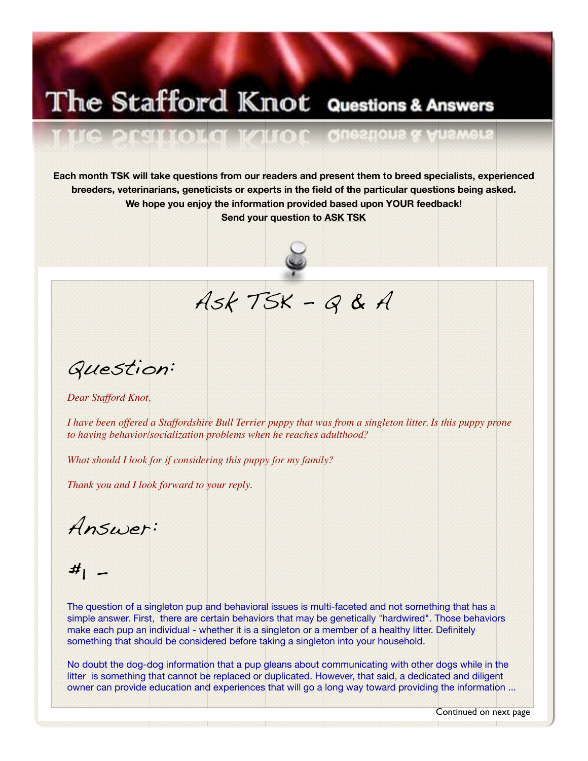## The Stafford Knot Questions & Answers

**Each month TSK will take questions from our readers and present them to breed specialists, experienced breeders, veterinarians, geneticists or experts in the field of the particular questions being asked. We hope you enjoy the information provided based upon YOUR feedback! Send your question to [ASK TSK](mailto:editor@thestaffordknot.com?subject=Q%26A)**

E(B)

 $(0.117241(0.112)$ 



Ask TSK - Q & A

Question:

*Dear Stafford Knot,*

*I have been offered a Staffordshire Bull Terrier puppy that was from a singleton litter. Is this puppy prone to having behavior/socialization problems when he reaches adulthood?* 

*What should I look for if considering this puppy for my family?*

町曲

*Thank you and I look forward to your reply.*

Answer:

 $#<sub>1</sub>$  -

The question of a singleton pup and behavioral issues is multi-faceted and not something that has a simple answer. First, there are certain behaviors that may be genetically "hardwired". Those behaviors make each pup an individual - whether it is a singleton or a member of a healthy litter. Definitely something that should be considered before taking a singleton into your household.

No doubt the dog-dog information that a pup gleans about communicating with other dogs while in the litter is something that cannot be replaced or duplicated. However, that said, a dedicated and diligent owner can provide education and experiences that will go a long way toward providing the information ...

Continued on next page